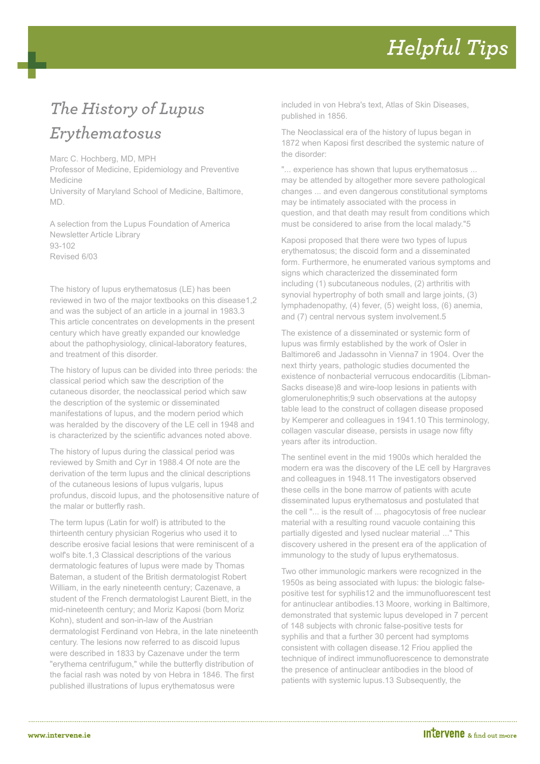## **Helpful Tips**

## *The History of Lupus Erythematosus*

Marc C. Hochberg, MD, MPH

Professor of Medicine, Epidemiology and Preventive Medicine

University of Maryland School of Medicine, Baltimore, MD.

A selection from the Lupus Foundation of America Newsletter Article Library 93-102 Revised 6/03

The history of lupus erythematosus (LE) has been reviewed in two of the major textbooks on this disease1,2 and was the subject of an article in a journal in 1983.3 This article concentrates on developments in the present century which have greatly expanded our knowledge about the pathophysiology, clinical-laboratory features, and treatment of this disorder.

The history of lupus can be divided into three periods: the classical period which saw the description of the cutaneous disorder, the neoclassical period which saw the description of the systemic or disseminated manifestations of lupus, and the modern period which was heralded by the discovery of the LE cell in 1948 and is characterized by the scientific advances noted above.

The history of lupus during the classical period was reviewed by Smith and Cyr in 1988.4 Of note are the derivation of the term lupus and the clinical descriptions of the cutaneous lesions of lupus vulgaris, lupus profundus, discoid lupus, and the photosensitive nature of the malar or butterfly rash.

The term lupus (Latin for wolf) is attributed to the thirteenth century physician Rogerius who used it to describe erosive facial lesions that were reminiscent of a wolf's bite.1,3 Classical descriptions of the various dermatologic features of lupus were made by Thomas Bateman, a student of the British dermatologist Robert William, in the early nineteenth century; Cazenave, a student of the French dermatologist Laurent Biett, in the mid-nineteenth century; and Moriz Kaposi (born Moriz Kohn), student and son-in-law of the Austrian dermatologist Ferdinand von Hebra, in the late nineteenth century. The lesions now referred to as discoid lupus were described in 1833 by Cazenave under the term "erythema centrifugum," while the butterfly distribution of the facial rash was noted by von Hebra in 1846. The first published illustrations of lupus erythematosus were

included in von Hebra's text, Atlas of Skin Diseases, published in 1856.

The Neoclassical era of the history of lupus began in 1872 when Kaposi first described the systemic nature of the disorder:

"... experience has shown that lupus erythematosus ... may be attended by altogether more severe pathological changes ... and even dangerous constitutional symptoms may be intimately associated with the process in question, and that death may result from conditions which must be considered to arise from the local malady."5

Kaposi proposed that there were two types of lupus erythematosus; the discoid form and a disseminated form. Furthermore, he enumerated various symptoms and signs which characterized the disseminated form including (1) subcutaneous nodules, (2) arthritis with synovial hypertrophy of both small and large joints, (3) lymphadenopathy, (4) fever, (5) weight loss, (6) anemia, and (7) central nervous system involvement.5

The existence of a disseminated or systemic form of lupus was firmly established by the work of Osler in Baltimore6 and Jadassohn in Vienna7 in 1904. Over the next thirty years, pathologic studies documented the existence of nonbacterial verrucous endocarditis (Libman-Sacks disease)8 and wire-loop lesions in patients with glomerulonephritis;9 such observations at the autopsy table lead to the construct of collagen disease proposed by Kemperer and colleagues in 1941.10 This terminology, collagen vascular disease, persists in usage now fifty years after its introduction.

The sentinel event in the mid 1900s which heralded the modern era was the discovery of the LE cell by Hargraves and colleagues in 1948.11 The investigators observed these cells in the bone marrow of patients with acute disseminated lupus erythematosus and postulated that the cell "... is the result of ... phagocytosis of free nuclear material with a resulting round vacuole containing this partially digested and lysed nuclear material ..." This discovery ushered in the present era of the application of immunology to the study of lupus erythematosus.

Two other immunologic markers were recognized in the 1950s as being associated with lupus: the biologic falsepositive test for syphilis12 and the immunofluorescent test for antinuclear antibodies.13 Moore, working in Baltimore, demonstrated that systemic lupus developed in 7 percent of 148 subjects with chronic false-positive tests for syphilis and that a further 30 percent had symptoms consistent with collagen disease.12 Friou applied the technique of indirect immunofluorescence to demonstrate the presence of antinuclear antibodies in the blood of patients with systemic lupus.13 Subsequently, the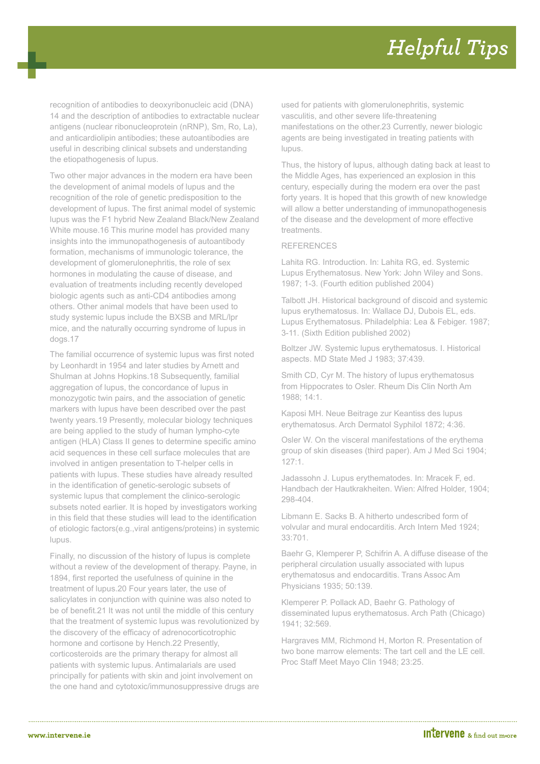recognition of antibodies to deoxyribonucleic acid (DNA) 14 and the description of antibodies to extractable nuclear antigens (nuclear ribonucleoprotein (nRNP), Sm, Ro, La), and anticardiolipin antibodies; these autoantibodies are useful in describing clinical subsets and understanding the etiopathogenesis of lupus.

Two other major advances in the modern era have been the development of animal models of lupus and the recognition of the role of genetic predisposition to the development of lupus. The first animal model of systemic lupus was the F1 hybrid New Zealand Black/New Zealand White mouse.16 This murine model has provided many insights into the immunopathogenesis of autoantibody formation, mechanisms of immunologic tolerance, the development of glomerulonephritis, the role of sex hormones in modulating the cause of disease, and evaluation of treatments including recently developed biologic agents such as anti-CD4 antibodies among others. Other animal models that have been used to study systemic lupus include the BXSB and MRL/lpr mice, and the naturally occurring syndrome of lupus in dogs.17

The familial occurrence of systemic lupus was first noted by Leonhardt in 1954 and later studies by Arnett and Shulman at Johns Hopkins.18 Subsequently, familial aggregation of lupus, the concordance of lupus in monozygotic twin pairs, and the association of genetic markers with lupus have been described over the past twenty years.19 Presently, molecular biology techniques are being applied to the study of human lympho-cyte antigen (HLA) Class II genes to determine specific amino acid sequences in these cell surface molecules that are involved in antigen presentation to T-helper cells in patients with lupus. These studies have already resulted in the identification of genetic-serologic subsets of systemic lupus that complement the clinico-serologic subsets noted earlier. It is hoped by investigators working in this field that these studies will lead to the identification of etiologic factors(e.g.,viral antigens/proteins) in systemic lupus.

Finally, no discussion of the history of lupus is complete without a review of the development of therapy. Payne, in 1894, first reported the usefulness of quinine in the treatment of lupus.20 Four years later, the use of salicylates in conjunction with quinine was also noted to be of benefit.21 It was not until the middle of this century that the treatment of systemic lupus was revolutionized by the discovery of the efficacy of adrenocorticotrophic hormone and cortisone by Hench.22 Presently, corticosteroids are the primary therapy for almost all patients with systemic lupus. Antimalarials are used principally for patients with skin and joint involvement on the one hand and cytotoxic/immunosuppressive drugs are used for patients with glomerulonephritis, systemic vasculitis, and other severe life-threatening manifestations on the other.23 Currently, newer biologic agents are being investigated in treating patients with lupus.

Thus, the history of lupus, although dating back at least to the Middle Ages, has experienced an explosion in this century, especially during the modern era over the past forty years. It is hoped that this growth of new knowledge will allow a better understanding of immunopathogenesis of the disease and the development of more effective treatments.

## REFERENCES

Lahita RG. Introduction. In: Lahita RG, ed. Systemic Lupus Erythematosus. New York: John Wiley and Sons. 1987; 1-3. (Fourth edition published 2004)

Talbott JH. Historical background of discoid and systemic lupus erythematosus. In: Wallace DJ, Dubois EL, eds. Lupus Erythematosus. Philadelphia: Lea & Febiger. 1987; 3-11. (Sixth Edition published 2002)

Boltzer JW. Systemic lupus erythematosus. I. Historical aspects. MD State Med J 1983; 37:439.

Smith CD, Cyr M. The history of lupus erythematosus from Hippocrates to Osler. Rheum Dis Clin North Am 1988; 14:1.

Kaposi MH. Neue Beitrage zur Keantiss des lupus erythematosus. Arch Dermatol Syphilol 1872; 4:36.

Osler W. On the visceral manifestations of the erythema group of skin diseases (third paper). Am J Med Sci 1904; 127:1.

Jadassohn J. Lupus erythematodes. In: Mracek F, ed. Handbach der Hautkrakheiten. Wien: Alfred Holder, 1904; 298-404.

Libmann E. Sacks B. A hitherto undescribed form of volvular and mural endocarditis. Arch Intern Med 1924; 33:701.

Baehr G, Klemperer P, Schifrin A. A diffuse disease of the peripheral circulation usually associated with lupus erythematosus and endocarditis. Trans Assoc Am Physicians 1935; 50:139.

Klemperer P. Pollack AD, Baehr G. Pathology of disseminated lupus erythematosus. Arch Path (Chicago) 1941; 32:569.

Hargraves MM, Richmond H, Morton R. Presentation of two bone marrow elements: The tart cell and the LE cell. Proc Staff Meet Mayo Clin 1948; 23:25.